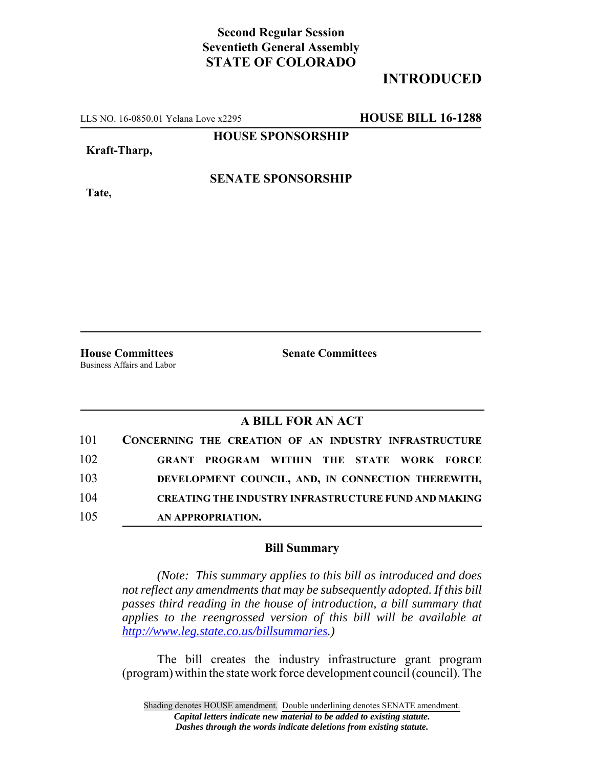## **Second Regular Session Seventieth General Assembly STATE OF COLORADO**

# **INTRODUCED**

LLS NO. 16-0850.01 Yelana Love x2295 **HOUSE BILL 16-1288**

**HOUSE SPONSORSHIP**

**Kraft-Tharp,**

**Tate,**

### **SENATE SPONSORSHIP**

Business Affairs and Labor

**House Committees Senate Committees**

### **A BILL FOR AN ACT**

| 101 | CONCERNING THE CREATION OF AN INDUSTRY INFRASTRUCTURE       |
|-----|-------------------------------------------------------------|
| 102 | <b>GRANT PROGRAM WITHIN THE STATE WORK FORCE</b>            |
| 103 | DEVELOPMENT COUNCIL, AND, IN CONNECTION THEREWITH,          |
| 104 | <b>CREATING THE INDUSTRY INFRASTRUCTURE FUND AND MAKING</b> |
| 105 | AN APPROPRIATION.                                           |

#### **Bill Summary**

*(Note: This summary applies to this bill as introduced and does not reflect any amendments that may be subsequently adopted. If this bill passes third reading in the house of introduction, a bill summary that applies to the reengrossed version of this bill will be available at http://www.leg.state.co.us/billsummaries.)*

The bill creates the industry infrastructure grant program (program) within the state work force development council (council). The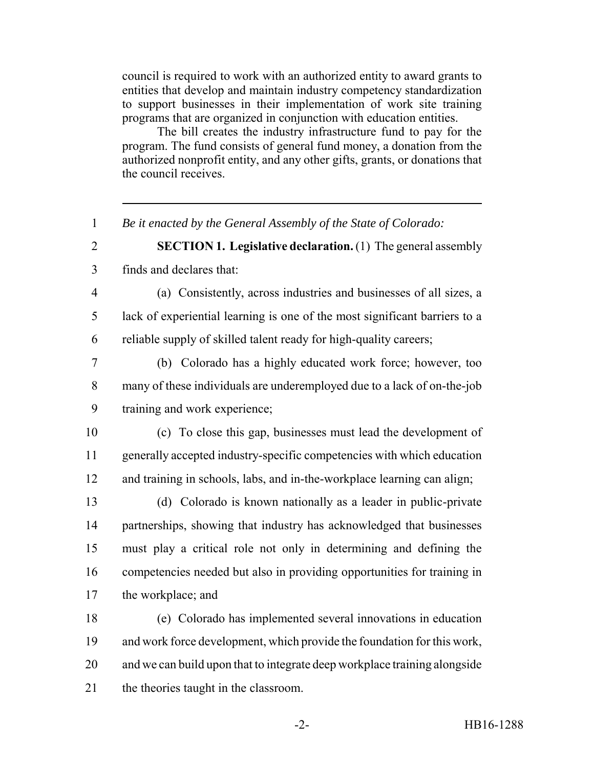council is required to work with an authorized entity to award grants to entities that develop and maintain industry competency standardization to support businesses in their implementation of work site training programs that are organized in conjunction with education entities.

The bill creates the industry infrastructure fund to pay for the program. The fund consists of general fund money, a donation from the authorized nonprofit entity, and any other gifts, grants, or donations that the council receives.

*Be it enacted by the General Assembly of the State of Colorado:*

 **SECTION 1. Legislative declaration.** (1) The general assembly finds and declares that:

- (a) Consistently, across industries and businesses of all sizes, a lack of experiential learning is one of the most significant barriers to a reliable supply of skilled talent ready for high-quality careers;
- (b) Colorado has a highly educated work force; however, too many of these individuals are underemployed due to a lack of on-the-job training and work experience;
- (c) To close this gap, businesses must lead the development of generally accepted industry-specific competencies with which education and training in schools, labs, and in-the-workplace learning can align;
- (d) Colorado is known nationally as a leader in public-private partnerships, showing that industry has acknowledged that businesses must play a critical role not only in determining and defining the competencies needed but also in providing opportunities for training in the workplace; and
- (e) Colorado has implemented several innovations in education and work force development, which provide the foundation for this work, and we can build upon that to integrate deep workplace training alongside the theories taught in the classroom.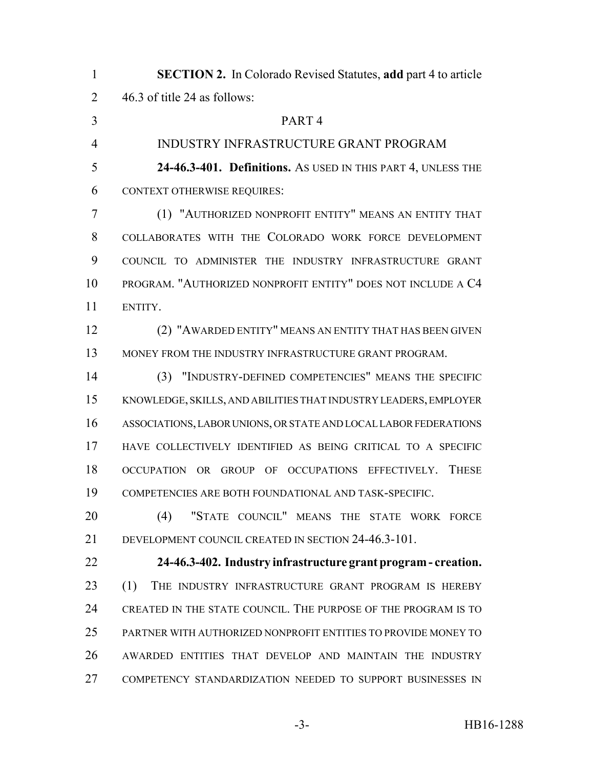| $\mathbf{1}$   | <b>SECTION 2.</b> In Colorado Revised Statutes, add part 4 to article                   |
|----------------|-----------------------------------------------------------------------------------------|
| $\overline{2}$ | 46.3 of title 24 as follows:                                                            |
| 3              | PART <sub>4</sub>                                                                       |
| $\overline{4}$ | <b>INDUSTRY INFRASTRUCTURE GRANT PROGRAM</b>                                            |
| 5              | 24-46.3-401. Definitions. As USED IN THIS PART 4, UNLESS THE                            |
| 6              | <b>CONTEXT OTHERWISE REQUIRES:</b>                                                      |
| 7              | (1) "AUTHORIZED NONPROFIT ENTITY" MEANS AN ENTITY THAT                                  |
| 8              | COLLABORATES WITH THE COLORADO WORK FORCE DEVELOPMENT                                   |
| 9              | COUNCIL TO ADMINISTER THE INDUSTRY INFRASTRUCTURE GRANT                                 |
| 10             | PROGRAM. "AUTHORIZED NONPROFIT ENTITY" DOES NOT INCLUDE A C4                            |
| 11             | ENTITY.                                                                                 |
| 12             | (2) "AWARDED ENTITY" MEANS AN ENTITY THAT HAS BEEN GIVEN                                |
| 13             | MONEY FROM THE INDUSTRY INFRASTRUCTURE GRANT PROGRAM.                                   |
| 14             | (3) "INDUSTRY-DEFINED COMPETENCIES" MEANS THE SPECIFIC                                  |
| 15             | KNOWLEDGE, SKILLS, AND ABILITIES THAT INDUSTRY LEADERS, EMPLOYER                        |
| 16             | ASSOCIATIONS, LABOR UNIONS, OR STATE AND LOCAL LABOR FEDERATIONS                        |
| 17             | HAVE COLLECTIVELY IDENTIFIED AS BEING CRITICAL TO A SPECIFIC                            |
| 18             | <b>THESE</b><br>OF OCCUPATIONS EFFECTIVELY.<br><b>OCCUPATION</b><br><b>GROUP</b><br>OR. |
| 19             | COMPETENCIES ARE BOTH FOUNDATIONAL AND TASK-SPECIFIC.                                   |
| 20             | "STATE COUNCIL" MEANS THE STATE WORK FORCE<br>(4)                                       |
| 21             | DEVELOPMENT COUNCIL CREATED IN SECTION 24-46.3-101.                                     |
| 22             | 24-46.3-402. Industry infrastructure grant program - creation.                          |
| 23             | THE INDUSTRY INFRASTRUCTURE GRANT PROGRAM IS HEREBY<br>(1)                              |
| 24             | CREATED IN THE STATE COUNCIL. THE PURPOSE OF THE PROGRAM IS TO                          |
| 25             | PARTNER WITH AUTHORIZED NONPROFIT ENTITIES TO PROVIDE MONEY TO                          |
| 26             | AWARDED ENTITIES THAT DEVELOP AND MAINTAIN THE INDUSTRY                                 |
| 27             | COMPETENCY STANDARDIZATION NEEDED TO SUPPORT BUSINESSES IN                              |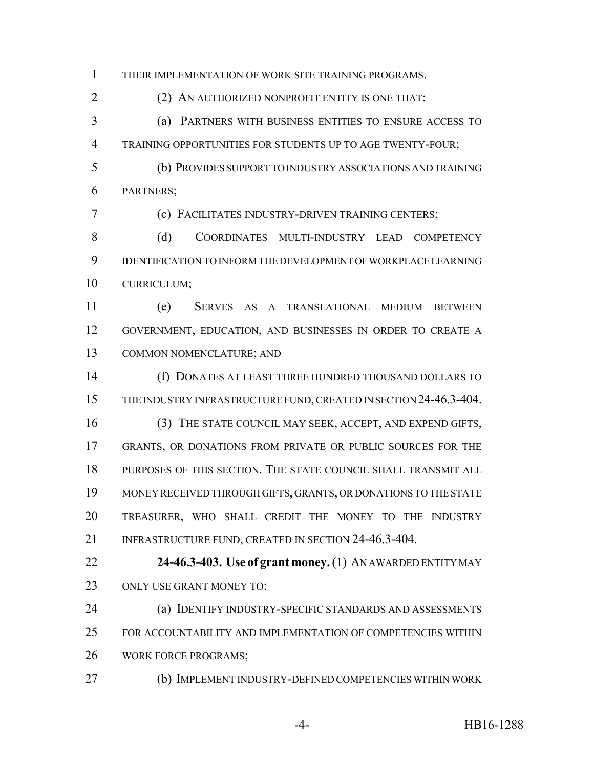THEIR IMPLEMENTATION OF WORK SITE TRAINING PROGRAMS.

(2) AN AUTHORIZED NONPROFIT ENTITY IS ONE THAT:

 (a) PARTNERS WITH BUSINESS ENTITIES TO ENSURE ACCESS TO TRAINING OPPORTUNITIES FOR STUDENTS UP TO AGE TWENTY-FOUR;

 (b) PROVIDES SUPPORT TO INDUSTRY ASSOCIATIONS AND TRAINING PARTNERS;

(c) FACILITATES INDUSTRY-DRIVEN TRAINING CENTERS;

8 (d) COORDINATES MULTI-INDUSTRY LEAD COMPETENCY IDENTIFICATION TO INFORM THE DEVELOPMENT OF WORKPLACE LEARNING CURRICULUM;

 (e) SERVES AS A TRANSLATIONAL MEDIUM BETWEEN GOVERNMENT, EDUCATION, AND BUSINESSES IN ORDER TO CREATE A COMMON NOMENCLATURE; AND

 (f) DONATES AT LEAST THREE HUNDRED THOUSAND DOLLARS TO 15 THE INDUSTRY INFRASTRUCTURE FUND, CREATED IN SECTION 24-46.3-404.

 (3) THE STATE COUNCIL MAY SEEK, ACCEPT, AND EXPEND GIFTS, GRANTS, OR DONATIONS FROM PRIVATE OR PUBLIC SOURCES FOR THE PURPOSES OF THIS SECTION. THE STATE COUNCIL SHALL TRANSMIT ALL MONEY RECEIVED THROUGH GIFTS, GRANTS, OR DONATIONS TO THE STATE TREASURER, WHO SHALL CREDIT THE MONEY TO THE INDUSTRY 21 INFRASTRUCTURE FUND, CREATED IN SECTION 24-46.3-404.

 **24-46.3-403. Use of grant money.** (1) AN AWARDED ENTITY MAY ONLY USE GRANT MONEY TO:

 (a) IDENTIFY INDUSTRY-SPECIFIC STANDARDS AND ASSESSMENTS FOR ACCOUNTABILITY AND IMPLEMENTATION OF COMPETENCIES WITHIN WORK FORCE PROGRAMS;

(b) IMPLEMENT INDUSTRY-DEFINED COMPETENCIES WITHIN WORK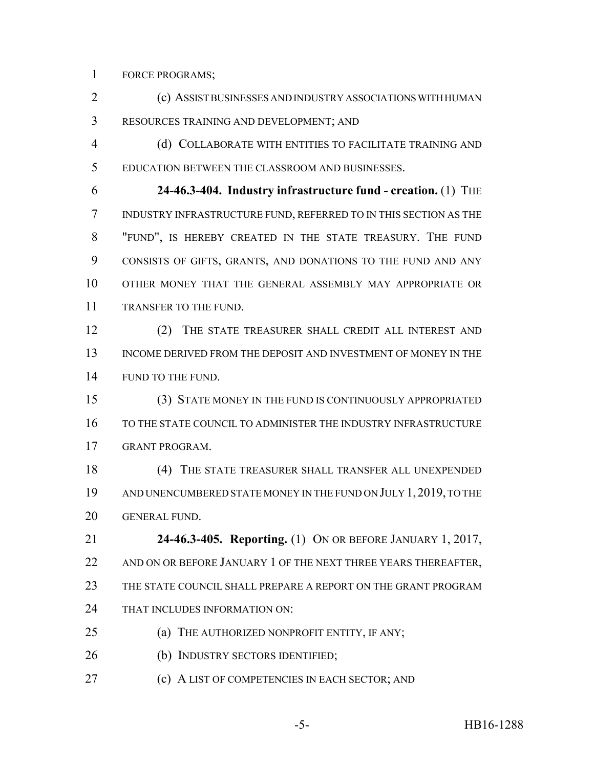FORCE PROGRAMS;

 (c) ASSIST BUSINESSES AND INDUSTRY ASSOCIATIONS WITH HUMAN RESOURCES TRAINING AND DEVELOPMENT; AND

 (d) COLLABORATE WITH ENTITIES TO FACILITATE TRAINING AND EDUCATION BETWEEN THE CLASSROOM AND BUSINESSES.

 **24-46.3-404. Industry infrastructure fund - creation.** (1) THE INDUSTRY INFRASTRUCTURE FUND, REFERRED TO IN THIS SECTION AS THE "FUND", IS HEREBY CREATED IN THE STATE TREASURY. THE FUND CONSISTS OF GIFTS, GRANTS, AND DONATIONS TO THE FUND AND ANY OTHER MONEY THAT THE GENERAL ASSEMBLY MAY APPROPRIATE OR TRANSFER TO THE FUND.

 (2) THE STATE TREASURER SHALL CREDIT ALL INTEREST AND INCOME DERIVED FROM THE DEPOSIT AND INVESTMENT OF MONEY IN THE 14 FUND TO THE FUND.

 (3) STATE MONEY IN THE FUND IS CONTINUOUSLY APPROPRIATED TO THE STATE COUNCIL TO ADMINISTER THE INDUSTRY INFRASTRUCTURE GRANT PROGRAM.

 (4) THE STATE TREASURER SHALL TRANSFER ALL UNEXPENDED AND UNENCUMBERED STATE MONEY IN THE FUND ON JULY 1,2019, TO THE GENERAL FUND.

 **24-46.3-405. Reporting.** (1) ON OR BEFORE JANUARY 1, 2017, 22 AND ON OR BEFORE JANUARY 1 OF THE NEXT THREE YEARS THEREAFTER, THE STATE COUNCIL SHALL PREPARE A REPORT ON THE GRANT PROGRAM THAT INCLUDES INFORMATION ON:

- **(a) THE AUTHORIZED NONPROFIT ENTITY, IF ANY**;
- (b) INDUSTRY SECTORS IDENTIFIED;
- (c) A LIST OF COMPETENCIES IN EACH SECTOR; AND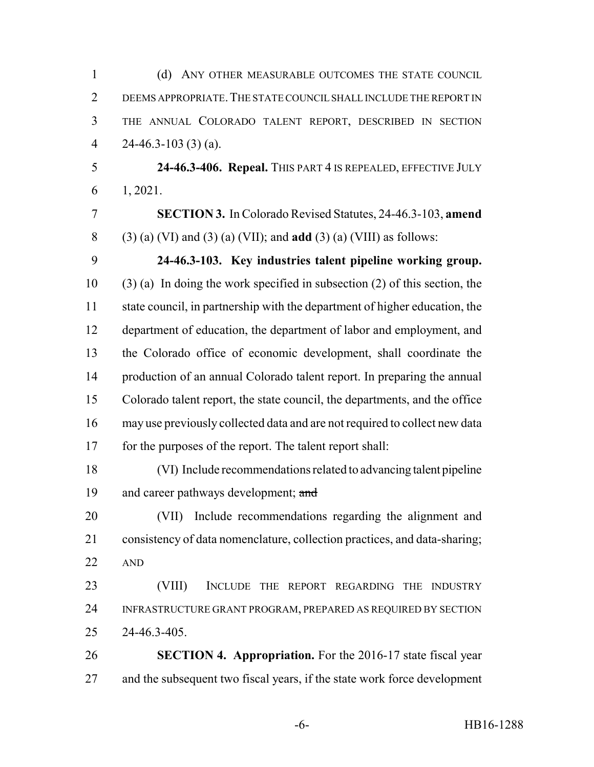| $\mathbf{1}$   | (d) ANY OTHER MEASURABLE OUTCOMES THE STATE COUNCIL                          |
|----------------|------------------------------------------------------------------------------|
| $\overline{2}$ | DEEMS APPROPRIATE. THE STATE COUNCIL SHALL INCLUDE THE REPORT IN             |
| 3              | THE ANNUAL COLORADO TALENT REPORT, DESCRIBED IN SECTION                      |
| $\overline{4}$ | $24-46.3-103(3)(a)$ .                                                        |
| 5              | 24-46.3-406. Repeal. THIS PART 4 IS REPEALED, EFFECTIVE JULY                 |
| 6              | 1, 2021.                                                                     |
| $\overline{7}$ | <b>SECTION 3.</b> In Colorado Revised Statutes, 24-46.3-103, amend           |
| 8              | $(3)$ (a) (VI) and (3) (a) (VII); and <b>add</b> (3) (a) (VIII) as follows:  |
| 9              | 24-46.3-103. Key industries talent pipeline working group.                   |
| 10             | $(3)$ (a) In doing the work specified in subsection (2) of this section, the |
| 11             | state council, in partnership with the department of higher education, the   |
| 12             | department of education, the department of labor and employment, and         |
| 13             | the Colorado office of economic development, shall coordinate the            |
| 14             | production of an annual Colorado talent report. In preparing the annual      |
| 15             | Colorado talent report, the state council, the departments, and the office   |
| 16             | may use previously collected data and are not required to collect new data   |
| 17             | for the purposes of the report. The talent report shall:                     |
| 18             | (VI) Include recommendations related to advancing talent pipeline            |
| 19             | and career pathways development; and                                         |
| 20             | (VII) Include recommendations regarding the alignment and                    |
| 21             | consistency of data nomenclature, collection practices, and data-sharing;    |
| 22             | <b>AND</b>                                                                   |
| 23             | (VIII)<br>INCLUDE THE REPORT REGARDING<br>THE<br><b>INDUSTRY</b>             |
| 24             | INFRASTRUCTURE GRANT PROGRAM, PREPARED AS REQUIRED BY SECTION                |
| 25             | 24-46.3-405.                                                                 |
| 26             | <b>SECTION 4. Appropriation.</b> For the 2016-17 state fiscal year           |
| 27             | and the subsequent two fiscal years, if the state work force development     |